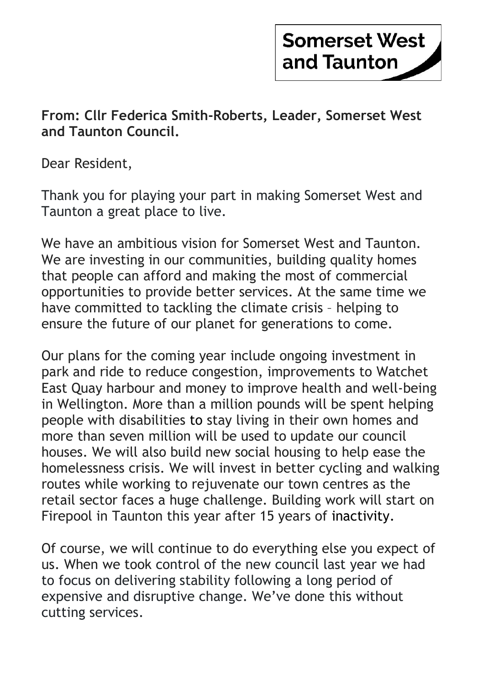## **Somerset West** and Taunton

 From: Cllr Federica Smith-Roberts, Leader, Somerset West and Taunton Council.

Dear Resident,

 Thank you for playing your part in making Somerset West and Taunton a great place to live.

 We have an ambitious vision for Somerset West and Taunton. We are investing in our communities, building quality homes that people can afford and making the most of commercial opportunities to provide better services. At the same time we have committed to tackling the climate crisis – helping to ensure the future of our planet for generations to come.

 Our plans for the coming year include ongoing investment in park and ride to reduce congestion, improvements to Watchet East Quay harbour and money to improve health and well-being in Wellington. More than a million pounds will be spent helping people with disabilities to stay living in their own homes and more than seven million will be used to update our council houses. We will also build new social housing to help ease the homelessness crisis. We will invest in better cycling and walking routes while working to rejuvenate our town centres as the retail sector faces a huge challenge. Building work will start on Firepool in Taunton this year after 15 years of inactivity.

 Of course, we will continue to do everything else you expect of us. When we took control of the new council last year we had to focus on delivering stability following a long period of expensive and disruptive change. We've done this without cutting services.